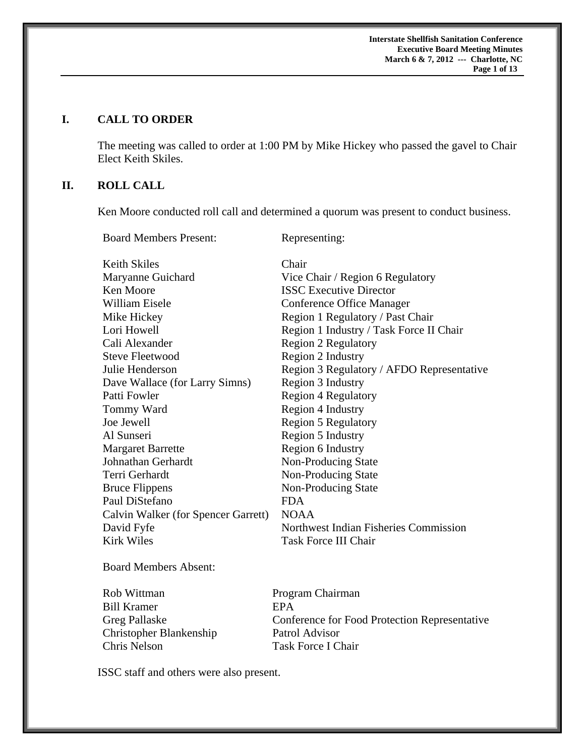**Interstate Shellfish Sanitation Conference Executive Board Meeting Minutes March 6 & 7, 2012 --- Charlotte, NC**  **Page 1 of 13** 

#### **I. CALL TO ORDER**

The meeting was called to order at 1:00 PM by Mike Hickey who passed the gavel to Chair Elect Keith Skiles.

# **II. ROLL CALL**

Ken Moore conducted roll call and determined a quorum was present to conduct business.

Board Members Present: Representing:

| Keith Skiles                        | Chair                                     |
|-------------------------------------|-------------------------------------------|
| Maryanne Guichard                   | Vice Chair / Region 6 Regulatory          |
| Ken Moore                           | <b>ISSC</b> Executive Director            |
| William Eisele                      | Conference Office Manager                 |
| Mike Hickey                         | Region 1 Regulatory / Past Chair          |
| Lori Howell                         | Region 1 Industry / Task Force II Chair   |
| Cali Alexander                      | <b>Region 2 Regulatory</b>                |
| <b>Steve Fleetwood</b>              | Region 2 Industry                         |
| Julie Henderson                     | Region 3 Regulatory / AFDO Representative |
| Dave Wallace (for Larry Simns)      | Region 3 Industry                         |
| Patti Fowler                        | <b>Region 4 Regulatory</b>                |
| Tommy Ward                          | Region 4 Industry                         |
| Joe Jewell                          | <b>Region 5 Regulatory</b>                |
| Al Sunseri                          | Region 5 Industry                         |
| <b>Margaret Barrette</b>            | Region 6 Industry                         |
| Johnathan Gerhardt                  | Non-Producing State                       |
| Terri Gerhardt                      | Non-Producing State                       |
| <b>Bruce Flippens</b>               | Non-Producing State                       |
| Paul DiStefano                      | FDA                                       |
| Calvin Walker (for Spencer Garrett) | <b>NOAA</b>                               |
| David Fyfe                          | Northwest Indian Fisheries Commission     |
| <b>Kirk Wiles</b>                   | <b>Task Force III Chair</b>               |

Board Members Absent:

Bill Kramer **EPA** Christopher Blankenship Patrol Advisor Chris Nelson Task Force I Chair

Rob Wittman Program Chairman Greg Pallaske Conference for Food Protection Representative

ISSC staff and others were also present.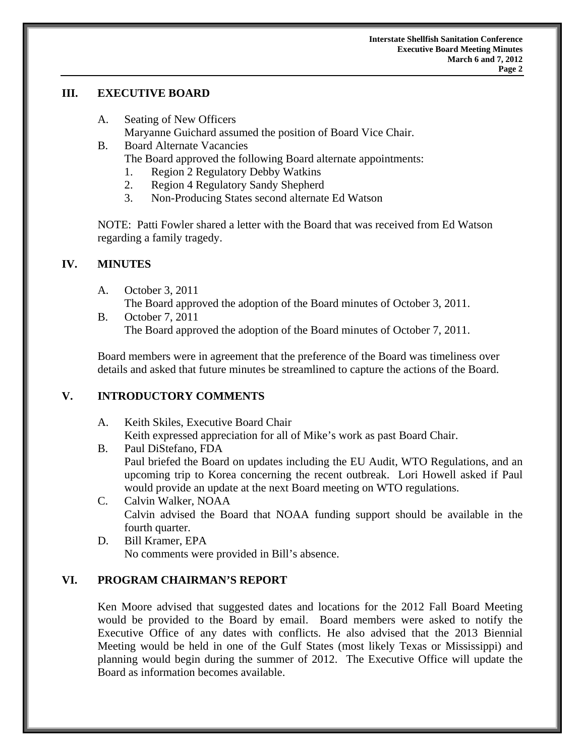### **III. EXECUTIVE BOARD**

- A. Seating of New Officers Maryanne Guichard assumed the position of Board Vice Chair.
- B. Board Alternate Vacancies The Board approved the following Board alternate appointments:
	- 1. Region 2 Regulatory Debby Watkins
	- 2. Region 4 Regulatory Sandy Shepherd
	- 3. Non-Producing States second alternate Ed Watson

NOTE: Patti Fowler shared a letter with the Board that was received from Ed Watson regarding a family tragedy.

## **IV. MINUTES**

A. October 3, 2011

The Board approved the adoption of the Board minutes of October 3, 2011.

B. October 7, 2011 The Board approved the adoption of the Board minutes of October 7, 2011.

Board members were in agreement that the preference of the Board was timeliness over details and asked that future minutes be streamlined to capture the actions of the Board.

# **V. INTRODUCTORY COMMENTS**

- A. Keith Skiles, Executive Board Chair Keith expressed appreciation for all of Mike's work as past Board Chair.
- B. Paul DiStefano, FDA Paul briefed the Board on updates including the EU Audit, WTO Regulations, and an upcoming trip to Korea concerning the recent outbreak. Lori Howell asked if Paul would provide an update at the next Board meeting on WTO regulations.
- C. Calvin Walker, NOAA Calvin advised the Board that NOAA funding support should be available in the fourth quarter.
- D. Bill Kramer, EPA No comments were provided in Bill's absence.

# **VI. PROGRAM CHAIRMAN'S REPORT**

Ken Moore advised that suggested dates and locations for the 2012 Fall Board Meeting would be provided to the Board by email. Board members were asked to notify the Executive Office of any dates with conflicts. He also advised that the 2013 Biennial Meeting would be held in one of the Gulf States (most likely Texas or Mississippi) and planning would begin during the summer of 2012. The Executive Office will update the Board as information becomes available.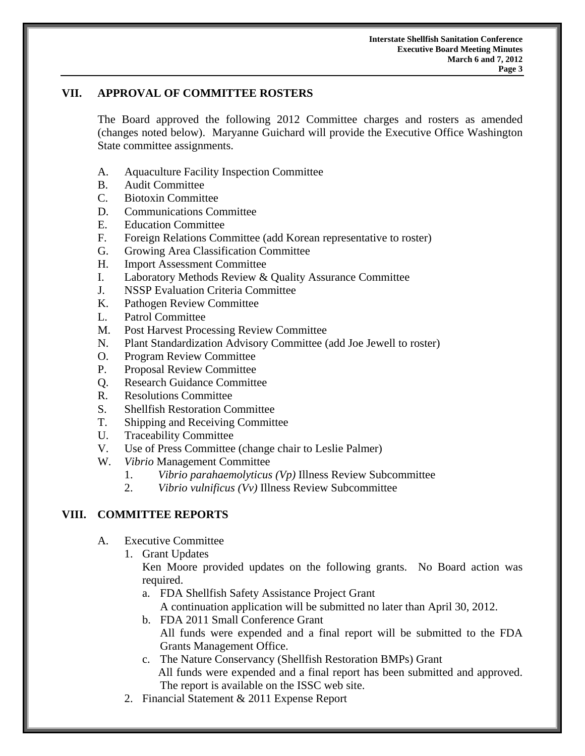## **VII. APPROVAL OF COMMITTEE ROSTERS**

The Board approved the following 2012 Committee charges and rosters as amended (changes noted below). Maryanne Guichard will provide the Executive Office Washington State committee assignments.

- A. Aquaculture Facility Inspection Committee
- B. Audit Committee
- C. Biotoxin Committee
- D. Communications Committee
- E. Education Committee
- F. Foreign Relations Committee (add Korean representative to roster)
- G. Growing Area Classification Committee
- H. Import Assessment Committee
- I. Laboratory Methods Review & Quality Assurance Committee
- J. NSSP Evaluation Criteria Committee
- K. Pathogen Review Committee
- L. Patrol Committee
- M. Post Harvest Processing Review Committee
- N. Plant Standardization Advisory Committee (add Joe Jewell to roster)
- O. Program Review Committee
- P. Proposal Review Committee
- Q. Research Guidance Committee
- R. Resolutions Committee
- S. Shellfish Restoration Committee
- T. Shipping and Receiving Committee
- U. Traceability Committee
- V. Use of Press Committee (change chair to Leslie Palmer)
- W. *Vibrio* Management Committee
	- 1. *Vibrio parahaemolyticus (Vp)* Illness Review Subcommittee
	- 2. *Vibrio vulnificus (Vv)* Illness Review Subcommittee

# **VIII. COMMITTEE REPORTS**

- A. Executive Committee
	- 1. Grant Updates

Ken Moore provided updates on the following grants. No Board action was required.

a. FDA Shellfish Safety Assistance Project Grant

A continuation application will be submitted no later than April 30, 2012.

- b. FDA 2011 Small Conference Grant All funds were expended and a final report will be submitted to the FDA Grants Management Office.
- c. The Nature Conservancy (Shellfish Restoration BMPs) Grant All funds were expended and a final report has been submitted and approved. The report is available on the ISSC web site.
- 2. Financial Statement & 2011 Expense Report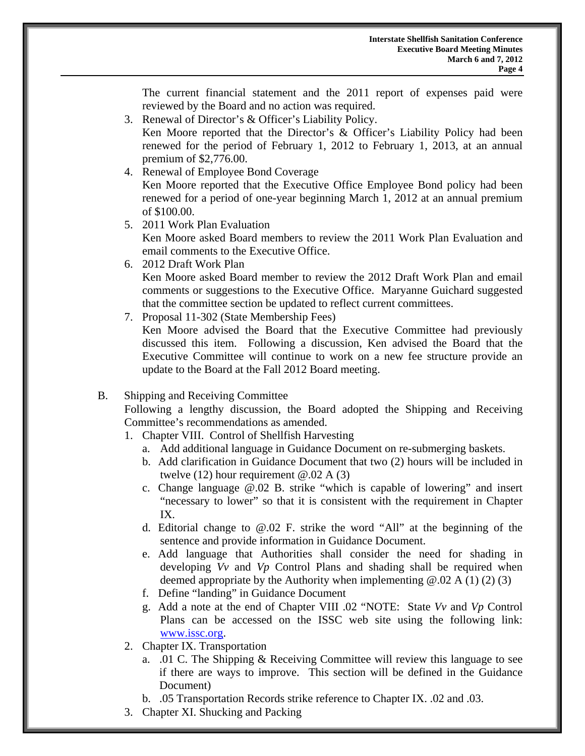The current financial statement and the 2011 report of expenses paid were reviewed by the Board and no action was required.

3. Renewal of Director's & Officer's Liability Policy.

 Ken Moore reported that the Director's & Officer's Liability Policy had been renewed for the period of February 1, 2012 to February 1, 2013, at an annual premium of \$2,776.00.

4. Renewal of Employee Bond Coverage

 Ken Moore reported that the Executive Office Employee Bond policy had been renewed for a period of one-year beginning March 1, 2012 at an annual premium of \$100.00.

- 5. 2011 Work Plan Evaluation Ken Moore asked Board members to review the 2011 Work Plan Evaluation and email comments to the Executive Office.
- 6. 2012 Draft Work Plan

 Ken Moore asked Board member to review the 2012 Draft Work Plan and email comments or suggestions to the Executive Office. Maryanne Guichard suggested that the committee section be updated to reflect current committees.

7. Proposal 11-302 (State Membership Fees)

Ken Moore advised the Board that the Executive Committee had previously discussed this item. Following a discussion, Ken advised the Board that the Executive Committee will continue to work on a new fee structure provide an update to the Board at the Fall 2012 Board meeting.

B. Shipping and Receiving Committee

 Following a lengthy discussion, the Board adopted the Shipping and Receiving Committee's recommendations as amended.

- 1. Chapter VIII. Control of Shellfish Harvesting
	- a. Add additional language in Guidance Document on re-submerging baskets.
	- b. Add clarification in Guidance Document that two (2) hours will be included in twelve (12) hour requirement  $\omega$ .02 A (3)
	- c. Change language @.02 B. strike "which is capable of lowering" and insert "necessary to lower" so that it is consistent with the requirement in Chapter IX.
	- d. Editorial change to  $\omega_{0.02}$  F. strike the word "All" at the beginning of the sentence and provide information in Guidance Document.
	- e. Add language that Authorities shall consider the need for shading in developing *Vv* and *Vp* Control Plans and shading shall be required when deemed appropriate by the Authority when implementing  $(2.02 \text{ A } (1) (2) (3))$
	- f. Define "landing" in Guidance Document
	- g. Add a note at the end of Chapter VIII .02 "NOTE: State *Vv* and *Vp* Control Plans can be accessed on the ISSC web site using the following link: www.issc.org.
- 2. Chapter IX. Transportation
	- a. .01 C. The Shipping & Receiving Committee will review this language to see if there are ways to improve. This section will be defined in the Guidance Document)
	- b. .05 Transportation Records strike reference to Chapter IX. .02 and .03.
- 3. Chapter XI. Shucking and Packing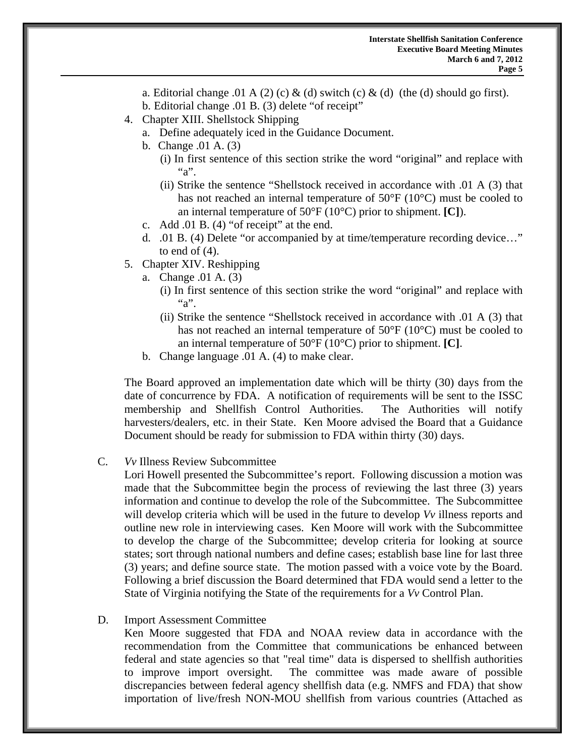- a. Editorial change .01 A (2) (c) & (d) switch (c) & (d) (the (d) should go first).
- b. Editorial change .01 B. (3) delete "of receipt"
- 4. Chapter XIII. Shellstock Shipping
	- a. Define adequately iced in the Guidance Document.
	- b. Change .01 A. (3)
		- (i) In first sentence of this section strike the word "original" and replace with  $``a"$ .
		- (ii) Strike the sentence "Shellstock received in accordance with .01 A (3) that has not reached an internal temperature of 50°F (10°C) must be cooled to an internal temperature of 50°F (10°C) prior to shipment. **[C]**).
	- c. Add .01 B. (4) "of receipt" at the end.
	- d. .01 B. (4) Delete "or accompanied by at time/temperature recording device…" to end of  $(4)$ .
- 5. Chapter XIV. Reshipping
	- a. Change .01 A. (3)
		- (i) In first sentence of this section strike the word "original" and replace with  $a^{\prime\prime}$
		- (ii) Strike the sentence "Shellstock received in accordance with .01 A (3) that has not reached an internal temperature of 50°F (10°C) must be cooled to an internal temperature of 50°F (10°C) prior to shipment. **[C]**.
	- b. Change language .01 A. (4) to make clear.

The Board approved an implementation date which will be thirty (30) days from the date of concurrence by FDA. A notification of requirements will be sent to the ISSC membership and Shellfish Control Authorities. The Authorities will notify harvesters/dealers, etc. in their State. Ken Moore advised the Board that a Guidance Document should be ready for submission to FDA within thirty (30) days.

C. *Vv* Illness Review Subcommittee

Lori Howell presented the Subcommittee's report. Following discussion a motion was made that the Subcommittee begin the process of reviewing the last three (3) years information and continue to develop the role of the Subcommittee. The Subcommittee will develop criteria which will be used in the future to develop *Vv* illness reports and outline new role in interviewing cases. Ken Moore will work with the Subcommittee to develop the charge of the Subcommittee; develop criteria for looking at source states; sort through national numbers and define cases; establish base line for last three (3) years; and define source state. The motion passed with a voice vote by the Board. Following a brief discussion the Board determined that FDA would send a letter to the State of Virginia notifying the State of the requirements for a *Vv* Control Plan.

D. Import Assessment Committee

Ken Moore suggested that FDA and NOAA review data in accordance with the recommendation from the Committee that communications be enhanced between federal and state agencies so that "real time" data is dispersed to shellfish authorities to improve import oversight. The committee was made aware of possible discrepancies between federal agency shellfish data (e.g. NMFS and FDA) that show importation of live/fresh NON-MOU shellfish from various countries (Attached as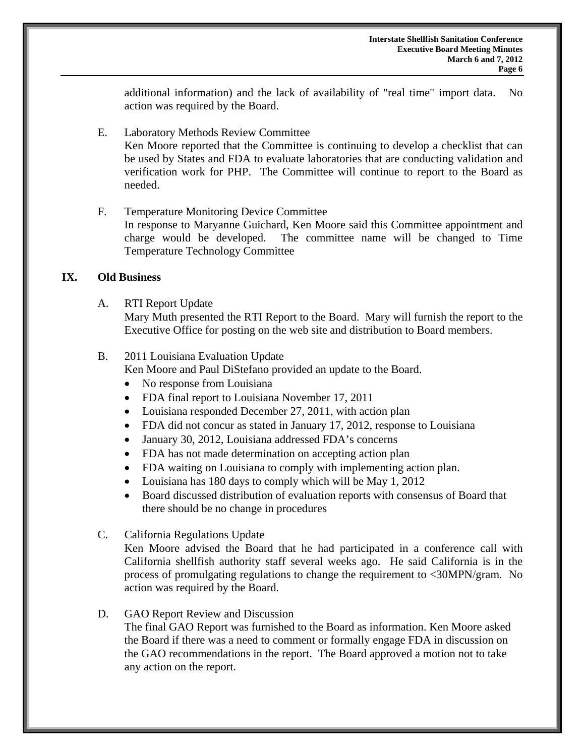additional information) and the lack of availability of "real time" import data. No action was required by the Board.

- E. Laboratory Methods Review Committee Ken Moore reported that the Committee is continuing to develop a checklist that can be used by States and FDA to evaluate laboratories that are conducting validation and verification work for PHP. The Committee will continue to report to the Board as needed.
- F. Temperature Monitoring Device Committee In response to Maryanne Guichard, Ken Moore said this Committee appointment and charge would be developed. The committee name will be changed to Time Temperature Technology Committee

#### **IX. Old Business**

A. RTI Report Update

 Mary Muth presented the RTI Report to the Board. Mary will furnish the report to the Executive Office for posting on the web site and distribution to Board members.

#### B. 2011 Louisiana Evaluation Update

Ken Moore and Paul DiStefano provided an update to the Board.

- No response from Louisiana
- FDA final report to Louisiana November 17, 2011
- Louisiana responded December 27, 2011, with action plan
- FDA did not concur as stated in January 17, 2012, response to Louisiana
- January 30, 2012, Louisiana addressed FDA's concerns
- FDA has not made determination on accepting action plan
- FDA waiting on Louisiana to comply with implementing action plan.
- Louisiana has 180 days to comply which will be May 1, 2012
- Board discussed distribution of evaluation reports with consensus of Board that there should be no change in procedures
- C. California Regulations Update

Ken Moore advised the Board that he had participated in a conference call with California shellfish authority staff several weeks ago. He said California is in the process of promulgating regulations to change the requirement to <30MPN/gram. No action was required by the Board.

### D. GAO Report Review and Discussion

 The final GAO Report was furnished to the Board as information. Ken Moore asked the Board if there was a need to comment or formally engage FDA in discussion on the GAO recommendations in the report. The Board approved a motion not to take any action on the report.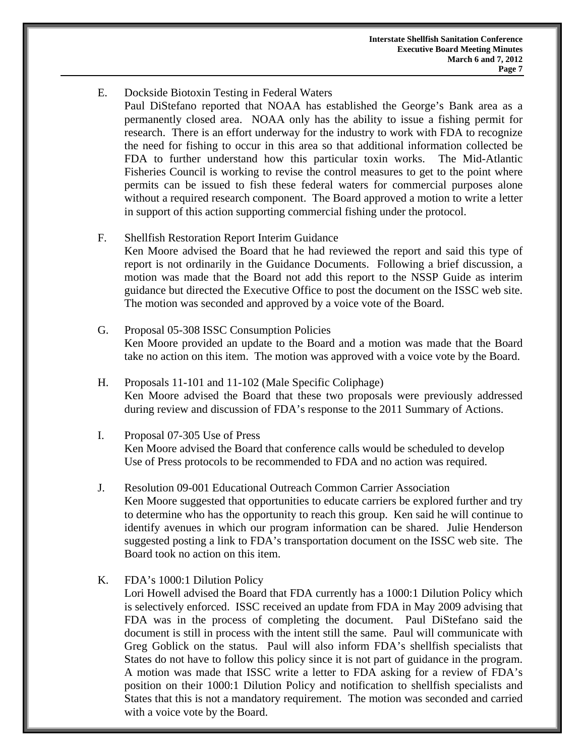E. Dockside Biotoxin Testing in Federal Waters Paul DiStefano reported that NOAA has established the George's Bank area as a permanently closed area. NOAA only has the ability to issue a fishing permit for research. There is an effort underway for the industry to work with FDA to recognize the need for fishing to occur in this area so that additional information collected be FDA to further understand how this particular toxin works. The Mid-Atlantic Fisheries Council is working to revise the control measures to get to the point where permits can be issued to fish these federal waters for commercial purposes alone without a required research component. The Board approved a motion to write a letter in support of this action supporting commercial fishing under the protocol.

#### F. Shellfish Restoration Report Interim Guidance

Ken Moore advised the Board that he had reviewed the report and said this type of report is not ordinarily in the Guidance Documents. Following a brief discussion, a motion was made that the Board not add this report to the NSSP Guide as interim guidance but directed the Executive Office to post the document on the ISSC web site. The motion was seconded and approved by a voice vote of the Board.

- G. Proposal 05-308 ISSC Consumption Policies Ken Moore provided an update to the Board and a motion was made that the Board take no action on this item. The motion was approved with a voice vote by the Board.
- H. Proposals 11-101 and 11-102 (Male Specific Coliphage) Ken Moore advised the Board that these two proposals were previously addressed during review and discussion of FDA's response to the 2011 Summary of Actions.
- I. Proposal 07-305 Use of Press Ken Moore advised the Board that conference calls would be scheduled to develop Use of Press protocols to be recommended to FDA and no action was required.
- J. Resolution 09-001 Educational Outreach Common Carrier Association Ken Moore suggested that opportunities to educate carriers be explored further and try to determine who has the opportunity to reach this group. Ken said he will continue to identify avenues in which our program information can be shared. Julie Henderson suggested posting a link to FDA's transportation document on the ISSC web site. The Board took no action on this item.
- K. FDA's 1000:1 Dilution Policy

Lori Howell advised the Board that FDA currently has a 1000:1 Dilution Policy which is selectively enforced. ISSC received an update from FDA in May 2009 advising that FDA was in the process of completing the document. Paul DiStefano said the document is still in process with the intent still the same. Paul will communicate with Greg Goblick on the status. Paul will also inform FDA's shellfish specialists that States do not have to follow this policy since it is not part of guidance in the program. A motion was made that ISSC write a letter to FDA asking for a review of FDA's position on their 1000:1 Dilution Policy and notification to shellfish specialists and States that this is not a mandatory requirement. The motion was seconded and carried with a voice vote by the Board.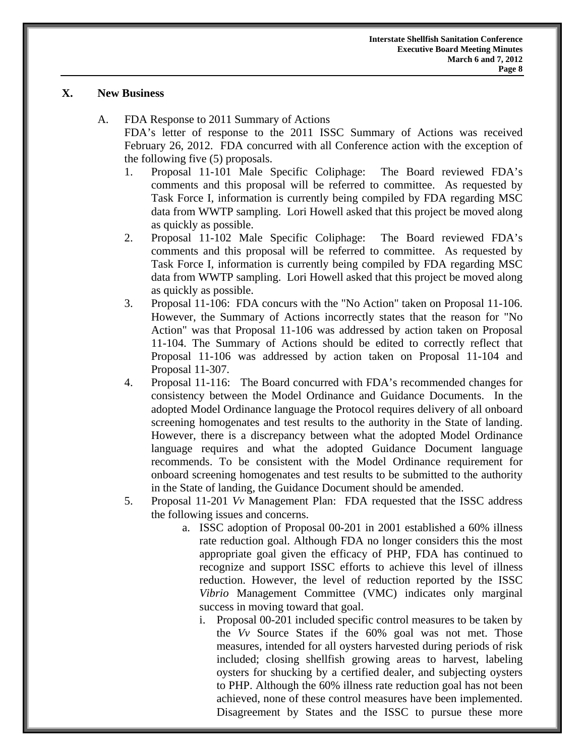## **X. New Business**

- A. FDA Response to 2011 Summary of Actions FDA's letter of response to the 2011 ISSC Summary of Actions was received February 26, 2012. FDA concurred with all Conference action with the exception of the following five (5) proposals.
	- 1. Proposal 11-101 Male Specific Coliphage: The Board reviewed FDA's comments and this proposal will be referred to committee. As requested by Task Force I, information is currently being compiled by FDA regarding MSC data from WWTP sampling. Lori Howell asked that this project be moved along as quickly as possible.
	- 2. Proposal 11-102 Male Specific Coliphage: The Board reviewed FDA's comments and this proposal will be referred to committee. As requested by Task Force I, information is currently being compiled by FDA regarding MSC data from WWTP sampling. Lori Howell asked that this project be moved along as quickly as possible.
	- 3. Proposal 11-106: FDA concurs with the "No Action" taken on Proposal 11-106. However, the Summary of Actions incorrectly states that the reason for "No Action" was that Proposal 11-106 was addressed by action taken on Proposal 11-104. The Summary of Actions should be edited to correctly reflect that Proposal 11-106 was addressed by action taken on Proposal 11-104 and Proposal 11-307.
	- 4. Proposal 11-116: The Board concurred with FDA's recommended changes for consistency between the Model Ordinance and Guidance Documents. In the adopted Model Ordinance language the Protocol requires delivery of all onboard screening homogenates and test results to the authority in the State of landing. However, there is a discrepancy between what the adopted Model Ordinance language requires and what the adopted Guidance Document language recommends. To be consistent with the Model Ordinance requirement for onboard screening homogenates and test results to be submitted to the authority in the State of landing, the Guidance Document should be amended.
	- 5. Proposal 11-201 *Vv* Management Plan: FDA requested that the ISSC address the following issues and concerns.
		- a. ISSC adoption of Proposal 00-201 in 2001 established a 60% illness rate reduction goal. Although FDA no longer considers this the most appropriate goal given the efficacy of PHP, FDA has continued to recognize and support ISSC efforts to achieve this level of illness reduction. However, the level of reduction reported by the ISSC *Vibrio* Management Committee (VMC) indicates only marginal success in moving toward that goal.
			- i. Proposal 00-201 included specific control measures to be taken by the *Vv* Source States if the 60% goal was not met. Those measures, intended for all oysters harvested during periods of risk included; closing shellfish growing areas to harvest, labeling oysters for shucking by a certified dealer, and subjecting oysters to PHP. Although the 60% illness rate reduction goal has not been achieved, none of these control measures have been implemented. Disagreement by States and the ISSC to pursue these more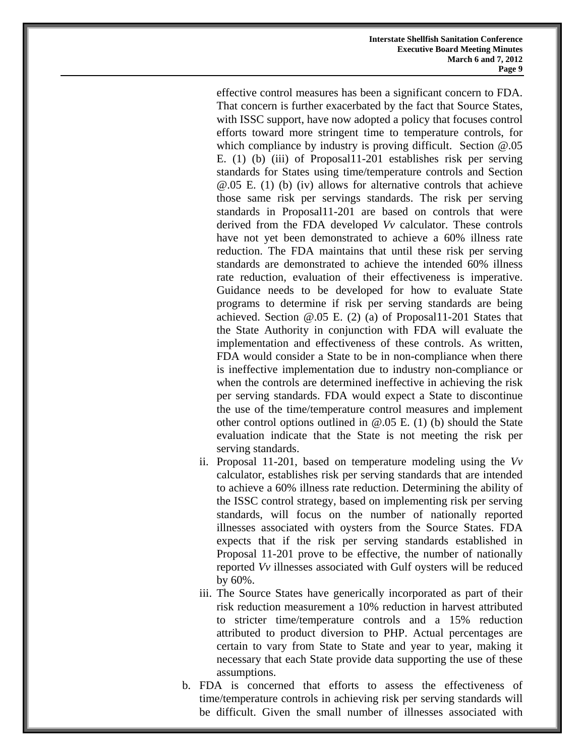effective control measures has been a significant concern to FDA. That concern is further exacerbated by the fact that Source States, with ISSC support, have now adopted a policy that focuses control efforts toward more stringent time to temperature controls, for which compliance by industry is proving difficult. Section  $(20.05)$ E. (1) (b) (iii) of Proposal11-201 establishes risk per serving standards for States using time/temperature controls and Section @.05 E. (1) (b) (iv) allows for alternative controls that achieve those same risk per servings standards. The risk per serving standards in Proposal11-201 are based on controls that were derived from the FDA developed *Vv* calculator. These controls have not yet been demonstrated to achieve a 60% illness rate reduction. The FDA maintains that until these risk per serving standards are demonstrated to achieve the intended 60% illness rate reduction, evaluation of their effectiveness is imperative. Guidance needs to be developed for how to evaluate State programs to determine if risk per serving standards are being achieved. Section  $\omega$ .05 E. (2) (a) of Proposal11-201 States that the State Authority in conjunction with FDA will evaluate the implementation and effectiveness of these controls. As written, FDA would consider a State to be in non-compliance when there is ineffective implementation due to industry non-compliance or when the controls are determined ineffective in achieving the risk per serving standards. FDA would expect a State to discontinue the use of the time/temperature control measures and implement other control options outlined in  $(2.05 \text{ E} \cdot (1)$  (b) should the State evaluation indicate that the State is not meeting the risk per serving standards.

- ii. Proposal 11-201, based on temperature modeling using the *Vv* calculator, establishes risk per serving standards that are intended to achieve a 60% illness rate reduction. Determining the ability of the ISSC control strategy, based on implementing risk per serving standards, will focus on the number of nationally reported illnesses associated with oysters from the Source States. FDA expects that if the risk per serving standards established in Proposal 11-201 prove to be effective, the number of nationally reported *Vv* illnesses associated with Gulf oysters will be reduced by 60%.
- iii. The Source States have generically incorporated as part of their risk reduction measurement a 10% reduction in harvest attributed to stricter time/temperature controls and a 15% reduction attributed to product diversion to PHP. Actual percentages are certain to vary from State to State and year to year, making it necessary that each State provide data supporting the use of these assumptions.
- b. FDA is concerned that efforts to assess the effectiveness of time/temperature controls in achieving risk per serving standards will be difficult. Given the small number of illnesses associated with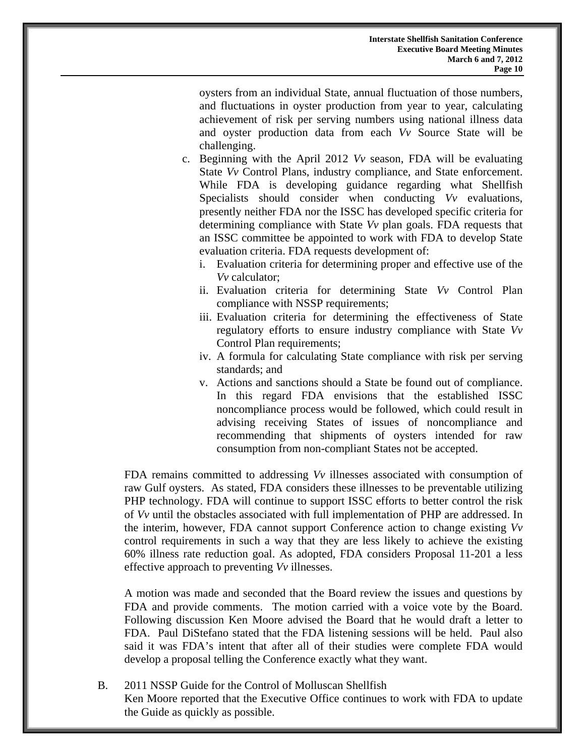oysters from an individual State, annual fluctuation of those numbers, and fluctuations in oyster production from year to year, calculating achievement of risk per serving numbers using national illness data and oyster production data from each *Vv* Source State will be challenging.

- c. Beginning with the April 2012 *Vv* season, FDA will be evaluating State *Vv* Control Plans, industry compliance, and State enforcement. While FDA is developing guidance regarding what Shellfish Specialists should consider when conducting *Vv* evaluations, presently neither FDA nor the ISSC has developed specific criteria for determining compliance with State *Vv* plan goals. FDA requests that an ISSC committee be appointed to work with FDA to develop State evaluation criteria. FDA requests development of:
	- i. Evaluation criteria for determining proper and effective use of the *Vv* calculator;
	- ii. Evaluation criteria for determining State *Vv* Control Plan compliance with NSSP requirements;
	- iii. Evaluation criteria for determining the effectiveness of State regulatory efforts to ensure industry compliance with State *Vv* Control Plan requirements;
	- iv. A formula for calculating State compliance with risk per serving standards; and
	- v. Actions and sanctions should a State be found out of compliance. In this regard FDA envisions that the established ISSC noncompliance process would be followed, which could result in advising receiving States of issues of noncompliance and recommending that shipments of oysters intended for raw consumption from non-compliant States not be accepted.

FDA remains committed to addressing *Vv* illnesses associated with consumption of raw Gulf oysters. As stated, FDA considers these illnesses to be preventable utilizing PHP technology. FDA will continue to support ISSC efforts to better control the risk of *Vv* until the obstacles associated with full implementation of PHP are addressed. In the interim, however, FDA cannot support Conference action to change existing *Vv* control requirements in such a way that they are less likely to achieve the existing 60% illness rate reduction goal. As adopted, FDA considers Proposal 11-201 a less effective approach to preventing *Vv* illnesses.

A motion was made and seconded that the Board review the issues and questions by FDA and provide comments. The motion carried with a voice vote by the Board. Following discussion Ken Moore advised the Board that he would draft a letter to FDA. Paul DiStefano stated that the FDA listening sessions will be held. Paul also said it was FDA's intent that after all of their studies were complete FDA would develop a proposal telling the Conference exactly what they want.

B. 2011 NSSP Guide for the Control of Molluscan Shellfish Ken Moore reported that the Executive Office continues to work with FDA to update the Guide as quickly as possible.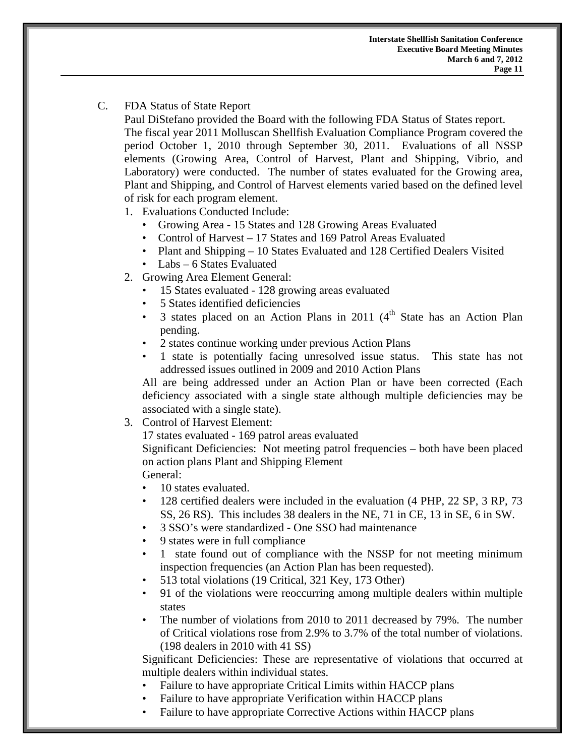## C. FDA Status of State Report

 Paul DiStefano provided the Board with the following FDA Status of States report. The fiscal year 2011 Molluscan Shellfish Evaluation Compliance Program covered the period October 1, 2010 through September 30, 2011. Evaluations of all NSSP elements (Growing Area, Control of Harvest, Plant and Shipping, Vibrio, and Laboratory) were conducted. The number of states evaluated for the Growing area, Plant and Shipping, and Control of Harvest elements varied based on the defined level of risk for each program element.

1. Evaluations Conducted Include:

- Growing Area 15 States and 128 Growing Areas Evaluated
- Control of Harvest 17 States and 169 Patrol Areas Evaluated
- Plant and Shipping 10 States Evaluated and 128 Certified Dealers Visited
- Labs 6 States Evaluated
- 2. Growing Area Element General:
	- 15 States evaluated 128 growing areas evaluated
	- 5 States identified deficiencies
	- 3 states placed on an Action Plans in 2011  $(4<sup>th</sup>$  State has an Action Plan pending.
	- 2 states continue working under previous Action Plans
	- 1 state is potentially facing unresolved issue status. This state has not addressed issues outlined in 2009 and 2010 Action Plans

All are being addressed under an Action Plan or have been corrected (Each deficiency associated with a single state although multiple deficiencies may be associated with a single state).

3. Control of Harvest Element:

17 states evaluated - 169 patrol areas evaluated

Significant Deficiencies: Not meeting patrol frequencies – both have been placed on action plans Plant and Shipping Element

## General:

- 10 states evaluated.
- 128 certified dealers were included in the evaluation (4 PHP, 22 SP, 3 RP, 73 SS, 26 RS). This includes 38 dealers in the NE, 71 in CE, 13 in SE, 6 in SW.
- 3 SSO's were standardized One SSO had maintenance
- 9 states were in full compliance
- 1 state found out of compliance with the NSSP for not meeting minimum inspection frequencies (an Action Plan has been requested).
- 513 total violations (19 Critical, 321 Key, 173 Other)
- 91 of the violations were reoccurring among multiple dealers within multiple states
- The number of violations from 2010 to 2011 decreased by 79%. The number of Critical violations rose from 2.9% to 3.7% of the total number of violations. (198 dealers in 2010 with 41 SS)

Significant Deficiencies: These are representative of violations that occurred at multiple dealers within individual states.

- Failure to have appropriate Critical Limits within HACCP plans
- Failure to have appropriate Verification within HACCP plans
- Failure to have appropriate Corrective Actions within HACCP plans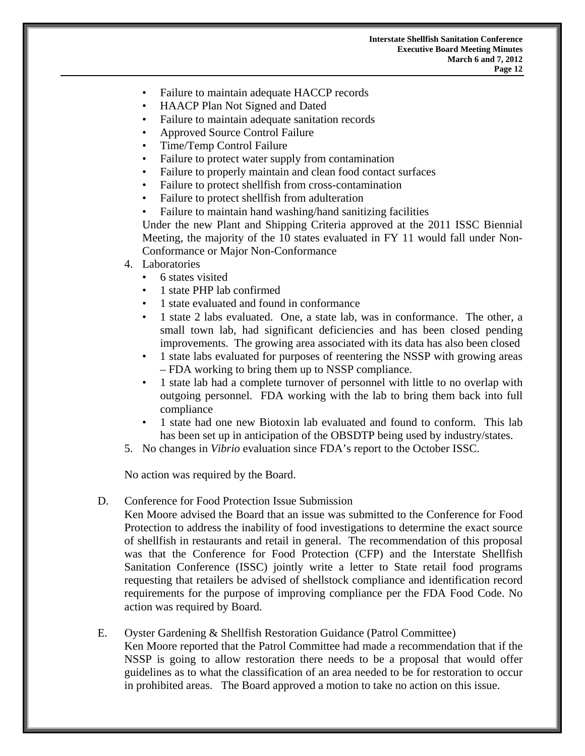- Failure to maintain adequate HACCP records
- HAACP Plan Not Signed and Dated
- Failure to maintain adequate sanitation records
- Approved Source Control Failure
- Time/Temp Control Failure
- Failure to protect water supply from contamination
- Failure to properly maintain and clean food contact surfaces
- Failure to protect shellfish from cross-contamination
- Failure to protect shell fish from adulteration
- Failure to maintain hand washing/hand sanitizing facilities

Under the new Plant and Shipping Criteria approved at the 2011 ISSC Biennial Meeting, the majority of the 10 states evaluated in FY 11 would fall under Non-Conformance or Major Non-Conformance

- 4. Laboratories
	- 6 states visited
	- 1 state PHP lab confirmed
	- 1 state evaluated and found in conformance
	- 1 state 2 labs evaluated. One, a state lab, was in conformance. The other, a small town lab, had significant deficiencies and has been closed pending improvements. The growing area associated with its data has also been closed
	- 1 state labs evaluated for purposes of reentering the NSSP with growing areas – FDA working to bring them up to NSSP compliance.
	- 1 state lab had a complete turnover of personnel with little to no overlap with outgoing personnel. FDA working with the lab to bring them back into full compliance
	- 1 state had one new Biotoxin lab evaluated and found to conform. This lab has been set up in anticipation of the OBSDTP being used by industry/states.
- 5. No changes in *Vibrio* evaluation since FDA's report to the October ISSC.

No action was required by the Board.

#### D. Conference for Food Protection Issue Submission

Ken Moore advised the Board that an issue was submitted to the Conference for Food Protection to address the inability of food investigations to determine the exact source of shellfish in restaurants and retail in general. The recommendation of this proposal was that the Conference for Food Protection (CFP) and the Interstate Shellfish Sanitation Conference (ISSC) jointly write a letter to State retail food programs requesting that retailers be advised of shellstock compliance and identification record requirements for the purpose of improving compliance per the FDA Food Code. No action was required by Board.

E. Oyster Gardening & Shellfish Restoration Guidance (Patrol Committee) Ken Moore reported that the Patrol Committee had made a recommendation that if the NSSP is going to allow restoration there needs to be a proposal that would offer guidelines as to what the classification of an area needed to be for restoration to occur in prohibited areas. The Board approved a motion to take no action on this issue.